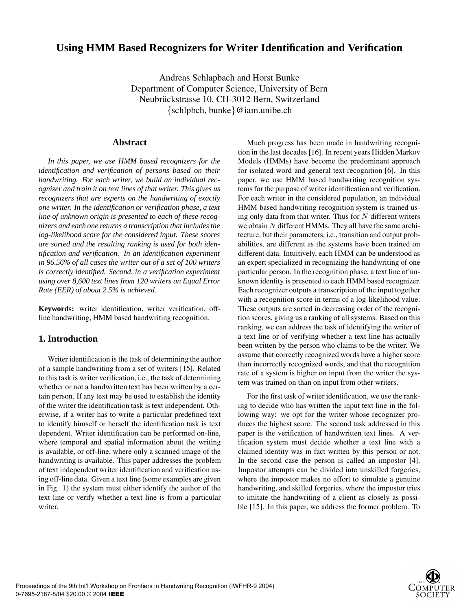# **Using HMM Based Recognizers for Writer Identification and Verification**

Andreas Schlapbach and Horst Bunke Department of Computer Science, University of Bern Neubrückstrasse 10, CH-3012 Bern, Switzerland *{*schlpbch, bunke*}*@iam.unibe.ch

## **Abstract**

*In this paper, we use HMM based recognizers for the identification and verification of persons based on their handwriting. For each writer, we build an individual recognizer and train it on text lines of that writer. This gives us recognizers that are experts on the handwriting of exactly one writer. In the identification or verification phase, a text line of unknown origin is presented to each of these recognizers and each one returns a transcription that includes the log-likelihood score for the considered input. These scores are sorted and the resulting ranking is used for both identification and verification. In an identification experiment in 96.56% of all cases the writer out of a set of 100 writers is correctly identified. Second, in a verification experiment using over 8,600 text lines from 120 writers an Equal Error Rate (EER) of about 2.5% is achieved.*

**Keywords:** writer identification, writer verification, offline handwriting, HMM based handwriting recognition.

# **1. Introduction**

Writer identification is the task of determining the author of a sample handwriting from a set of writers [15]. Related to this task is writer verification, i.e., the task of determining whether or not a handwritten text has been written by a certain person. If any text may be used to establish the identity of the writer the identification task is text independent. Otherwise, if a writer has to write a particular predefined text to identify himself or herself the identification task is text dependent. Writer identification can be performed on-line, where temporal and spatial information about the writing is available, or off-line, where only a scanned image of the handwriting is available. This paper addresses the problem of text independent writer identification and verification using off-line data. Given a text line (some examples are given in Fig. 1) the system must either identify the author of the text line or verify whether a text line is from a particular writer.

Much progress has been made in handwriting recognition in the last decades [16]. In recent years Hidden Markov Models (HMMs) have become the predominant approach for isolated word and general text recognition [6]. In this paper, we use HMM based handwriting recognition systems for the purpose of writer identification and verification. For each writer in the considered population, an individual HMM based handwriting recognition system is trained using only data from that writer. Thus for *N* different writers we obtain *N* different HMMs. They all have the same architecture, but their parameters, i.e., transition and output probabilities, are different as the systems have been trained on different data. Intuitively, each HMM can be understood as an expert specialized in recognizing the handwriting of one particular person. In the recognition phase, a text line of unknown identity is presented to each HMM based recognizer. Each recognizer outputs a transcription of the input together with a recognition score in terms of a log-likelihood value. These outputs are sorted in decreasing order of the recognition scores, giving us a ranking of all systems. Based on this ranking, we can address the task of identifying the writer of a text line or of verifying whether a text line has actually been written by the person who claims to be the writer. We assume that correctly recognized words have a higher score than incorrectly recognized words, and that the recognition rate of a system is higher on input from the writer the system was trained on than on input from other writers.

For the first task of writer identification, we use the ranking to decide who has written the input text line in the following way: we opt for the writer whose recognizer produces the highest score. The second task addressed in this paper is the verification of handwritten text lines. A verification system must decide whether a text line with a claimed identity was in fact written by this person or not. In the second case the person is called an impostor [4]. Impostor attempts can be divided into unskilled forgeries, where the impostor makes no effort to simulate a genuine handwriting, and skilled forgeries, where the impostor tries to imitate the handwriting of a client as closely as possible [15]. In this paper, we address the former problem. To

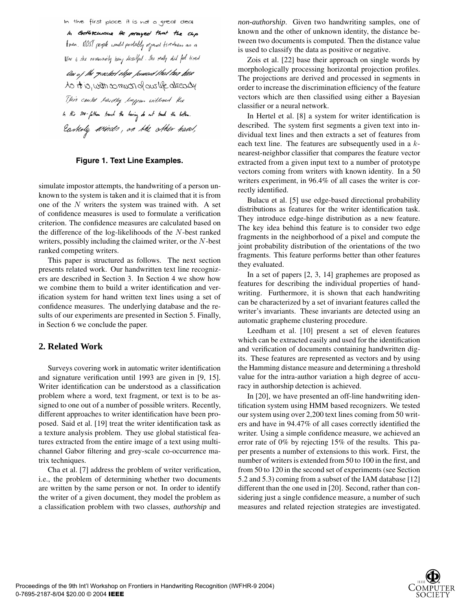In the first place it is not a great deal In Gethremone He prayed that the chp finen. MOST people would prolably rejound firedness as a War is she necessarily heing decentful. She really did feel tired On of the genetict clear fouword that has bind Ao it is, with a much of our life already This could hardly happen without the In this 200-father trench the herring do not touch the bottom. Easterly winds, on the other hand,

#### **Figure 1. Text Line Examples.**

simulate impostor attempts, the handwriting of a person unknown to the system is taken and it is claimed that it is from one of the *N* writers the system was trained with. A set of confidence measures is used to formulate a verification criterion. The confidence measures are calculated based on the difference of the log-likelihoods of the *N*-best ranked writers, possibly including the claimed writer, or the *N*-best ranked competing writers.

This paper is structured as follows. The next section presents related work. Our handwritten text line recognizers are described in Section 3. In Section 4 we show how we combine them to build a writer identification and verification system for hand written text lines using a set of confidence measures. The underlying database and the results of our experiments are presented in Section 5. Finally, in Section 6 we conclude the paper.

#### **2. Related Work**

Surveys covering work in automatic writer identification and signature verification until 1993 are given in [9, 15]. Writer identification can be understood as a classification problem where a word, text fragment, or text is to be assigned to one out of a number of possible writers. Recently, different approaches to writer identification have been proposed. Said et al. [19] treat the writer identification task as a texture analysis problem. They use global statistical features extracted from the entire image of a text using multichannel Gabor filtering and grey-scale co-occurrence matrix techniques.

Cha et al. [7] address the problem of writer verification, i.e., the problem of determining whether two documents are written by the same person or not. In order to identify the writer of a given document, they model the problem as a classification problem with two classes, *authorship* and *non-authorship*. Given two handwriting samples, one of known and the other of unknown identity, the distance between two documents is computed. Then the distance value is used to classify the data as positive or negative.

Zois et al. [22] base their approach on single words by morphologically processing horizontal projection profiles. The projections are derived and processed in segments in order to increase the discrimination efficiency of the feature vectors which are then classified using either a Bayesian classifier or a neural network.

In Hertel et al. [8] a system for writer identification is described. The system first segments a given text into individual text lines and then extracts a set of features from each text line. The features are subsequently used in a *k*nearest-neighbor classifier that compares the feature vector extracted from a given input text to a number of prototype vectors coming from writers with known identity. In a 50 writers experiment, in 96.4% of all cases the writer is correctly identified.

Bulacu et al. [5] use edge-based directional probability distributions as features for the writer identification task. They introduce edge-hinge distribution as a new feature. The key idea behind this feature is to consider two edge fragments in the neighborhood of a pixel and compute the joint probability distribution of the orientations of the two fragments. This feature performs better than other features they evaluated.

In a set of papers [2, 3, 14] graphemes are proposed as features for describing the individual properties of handwriting. Furthermore, it is shown that each handwriting can be characterized by a set of invariant features called the writer's invariants. These invariants are detected using an automatic grapheme clustering procedure.

Leedham et al. [10] present a set of eleven features which can be extracted easily and used for the identification and verification of documents containing handwritten digits. These features are represented as vectors and by using the Hamming distance measure and determining a threshold value for the intra-author variation a high degree of accuracy in authorship detection is achieved.

In [20], we have presented an off-line handwriting identification system using HMM based recognizers. We tested our system using over 2,200 text lines coming from 50 writers and have in 94.47% of all cases correctly identified the writer. Using a simple confidence measure, we achieved an error rate of 0% by rejecting 15% of the results. This paper presents a number of extensions to this work. First, the number of writers is extended from 50 to 100 in the first, and from 50 to 120 in the second set of experiments (see Section 5.2 and 5.3) coming from a subset of the IAM database [12] different than the one used in [20]. Second, rather than considering just a single confidence measure, a number of such measures and related rejection strategies are investigated.

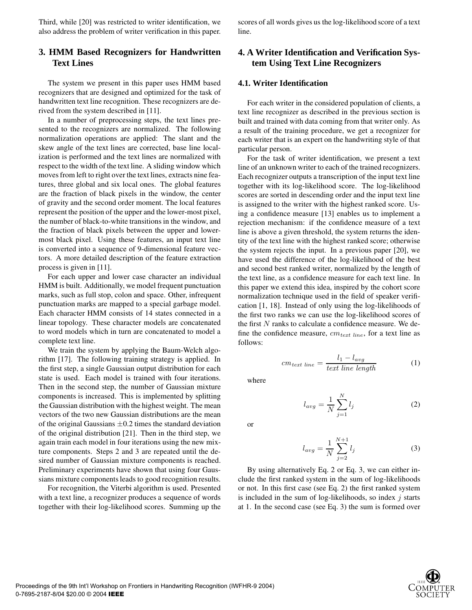Third, while [20] was restricted to writer identification, we also address the problem of writer verification in this paper.

# **3. HMM Based Recognizers for Handwritten Text Lines**

The system we present in this paper uses HMM based recognizers that are designed and optimized for the task of handwritten text line recognition. These recognizers are derived from the system described in [11].

In a number of preprocessing steps, the text lines presented to the recognizers are normalized. The following normalization operations are applied: The slant and the skew angle of the text lines are corrected, base line localization is performed and the text lines are normalized with respect to the width of the text line. A sliding window which moves from left to right over the text lines, extracts nine features, three global and six local ones. The global features are the fraction of black pixels in the window, the center of gravity and the second order moment. The local features represent the position of the upper and the lower-most pixel, the number of black-to-white transitions in the window, and the fraction of black pixels between the upper and lowermost black pixel. Using these features, an input text line is converted into a sequence of 9-dimensional feature vectors. A more detailed description of the feature extraction process is given in [11].

For each upper and lower case character an individual HMM is built. Additionally, we model frequent punctuation marks, such as full stop, colon and space. Other, infrequent punctuation marks are mapped to a special garbage model. Each character HMM consists of 14 states connected in a linear topology. These character models are concatenated to word models which in turn are concatenated to model a complete text line.

We train the system by applying the Baum-Welch algorithm [17]. The following training strategy is applied. In the first step, a single Gaussian output distribution for each state is used. Each model is trained with four iterations. Then in the second step, the number of Gaussian mixture components is increased. This is implemented by splitting the Gaussian distribution with the highest weight. The mean vectors of the two new Gaussian distributions are the mean of the original Gaussians *±*0.2 times the standard deviation of the original distribution [21]. Then in the third step, we again train each model in four iterations using the new mixture components. Steps 2 and 3 are repeated until the desired number of Gaussian mixture components is reached. Preliminary experiments have shown that using four Gaussians mixture components leads to good recognition results.

For recognition, the Viterbi algorithm is used. Presented with a text line, a recognizer produces a sequence of words together with their log-likelihood scores. Summing up the

scores of all words gives us the log-likelihood score of a text line.

# **4. A Writer Identification and Verification System Using Text Line Recognizers**

#### **4.1. Writer Identification**

For each writer in the considered population of clients, a text line recognizer as described in the previous section is built and trained with data coming from that writer only. As a result of the training procedure, we get a recognizer for each writer that is an expert on the handwriting style of that particular person.

For the task of writer identification, we present a text line of an unknown writer to each of the trained recognizers. Each recognizer outputs a transcription of the input text line together with its log-likelihood score. The log-likelihood scores are sorted in descending order and the input text line is assigned to the writer with the highest ranked score. Using a confidence measure [13] enables us to implement a rejection mechanism: if the confidence measure of a text line is above a given threshold, the system returns the identity of the text line with the highest ranked score; otherwise the system rejects the input. In a previous paper [20], we have used the difference of the log-likelihood of the best and second best ranked writer, normalized by the length of the text line, as a confidence measure for each text line. In this paper we extend this idea, inspired by the cohort score normalization technique used in the field of speaker verification [1, 18]. Instead of only using the log-likelihoods of the first two ranks we can use the log-likelihood scores of the first *N* ranks to calculate a confidence measure. We define the confidence measure, *cmtext line* , for a text line as follows:

$$
cm_{text\ line} = \frac{l_1 - l_{avg}}{\text{text line length}} \tag{1}
$$

where

$$
l_{avg} = \frac{1}{N} \sum_{j=1}^{N} l_j
$$
 (2)

or

$$
l_{avg} = \frac{1}{N} \sum_{j=2}^{N+1} l_j
$$
 (3)

By using alternatively Eq. 2 or Eq. 3, we can either include the first ranked system in the sum of log-likelihoods or not. In this first case (see Eq. 2) the first ranked system is included in the sum of log-likelihoods, so index *j* starts at 1. In the second case (see Eq. 3) the sum is formed over

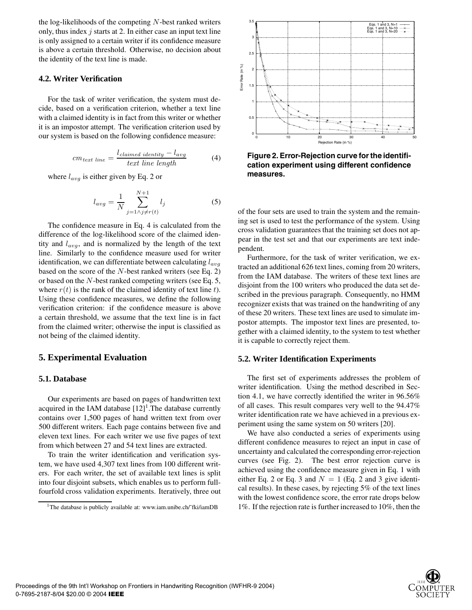the log-likelihoods of the competing *N*-best ranked writers only, thus index *j* starts at 2. In either case an input text line is only assigned to a certain writer if its confidence measure is above a certain threshold. Otherwise, no decision about the identity of the text line is made.

#### **4.2. Writer Verification**

For the task of writer verification, the system must decide, based on a verification criterion, whether a text line with a claimed identity is in fact from this writer or whether it is an impostor attempt. The verification criterion used by our system is based on the following confidence measure:

$$
cm_{text line} = \frac{l_{claimed} \text{ identity} - l_{avg}}{\text{text line length}}
$$
\n<sup>(4)</sup>

where *<sup>l</sup>avg* is either given by Eq. 2 or

$$
l_{avg} = \frac{1}{N} \sum_{j=1 \land j \neq r(t)}^{N+1} l_j \tag{5}
$$

The confidence measure in Eq. 4 is calculated from the difference of the log-likelihood score of the claimed identity and *<sup>l</sup>avg*, and is normalized by the length of the text line. Similarly to the confidence measure used for writer identification, we can differentiate between calculating *<sup>l</sup>avg* based on the score of the *N*-best ranked writers (see Eq. 2) or based on the *N*-best ranked competing writers (see Eq. 5, where  $r(t)$  is the rank of the claimed identity of text line  $t$ ). Using these confidence measures, we define the following verification criterion: if the confidence measure is above a certain threshold, we assume that the text line is in fact from the claimed writer; otherwise the input is classified as not being of the claimed identity.

### **5. Experimental Evaluation**

#### **5.1. Database**

Our experiments are based on pages of handwritten text acquired in the IAM database  $[12]$ <sup>1</sup>. The database currently contains over 1,500 pages of hand written text from over 500 different writers. Each page contains between five and eleven text lines. For each writer we use five pages of text from which between 27 and 54 text lines are extracted.

To train the writer identification and verification system, we have used 4,307 text lines from 100 different writers. For each writer, the set of available text lines is split into four disjoint subsets, which enables us to perform fullfourfold cross validation experiments. Iteratively, three out

Proceedings of the 9th Int'l Workshop on Frontiers in Handwriting Recognition (IWFHR-9 2004)

0-7695-2187-8/04 \$20.00 © 2004 IEEE



**Figure 2. Error-Rejection curve for the identification experiment using different confidence measures.**

of the four sets are used to train the system and the remaining set is used to test the performance of the system. Using cross validation guarantees that the training set does not appear in the test set and that our experiments are text independent.

Furthermore, for the task of writer verification, we extracted an additional 626 text lines, coming from 20 writers, from the IAM database. The writers of these text lines are disjoint from the 100 writers who produced the data set described in the previous paragraph. Consequently, no HMM recognizer exists that was trained on the handwriting of any of these 20 writers. These text lines are used to simulate impostor attempts. The impostor text lines are presented, together with a claimed identity, to the system to test whether it is capable to correctly reject them.

#### **5.2. Writer Identification Experiments**

The first set of experiments addresses the problem of writer identification. Using the method described in Section 4.1, we have correctly identified the writer in 96.56% of all cases. This result compares very well to the 94.47% writer identification rate we have achieved in a previous experiment using the same system on 50 writers [20].

We have also conducted a series of experiments using different confidence measures to reject an input in case of uncertainty and calculated the corresponding error-rejection curves (see Fig. 2). The best error rejection curve is achieved using the confidence measure given in Eq. 1 with either Eq. 2 or Eq. 3 and  $N = 1$  (Eq. 2 and 3 give identical results). In these cases, by rejecting 5% of the text lines with the lowest confidence score, the error rate drops below 1%. If the rejection rate is further increased to 10%, then the



<sup>&</sup>lt;sup>1</sup>The database is publicly available at: www.iam.unibe.ch/~fki/iamDB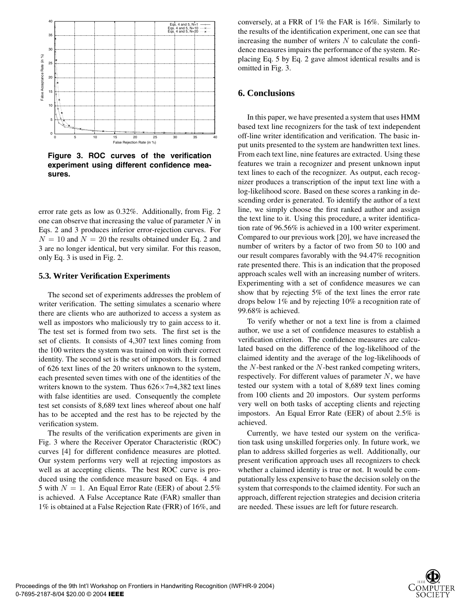

**Figure 3. ROC curves of the verification experiment using different confidence measures.**

error rate gets as low as 0.32%. Additionally, from Fig. 2 one can observe that increasing the value of parameter *N* in Eqs. 2 and 3 produces inferior error-rejection curves. For  $N = 10$  and  $N = 20$  the results obtained under Eq. 2 and 3 are no longer identical, but very similar. For this reason, only Eq. 3 is used in Fig. 2.

#### **5.3. Writer Verification Experiments**

The second set of experiments addresses the problem of writer verification. The setting simulates a scenario where there are clients who are authorized to access a system as well as impostors who maliciously try to gain access to it. The test set is formed from two sets. The first set is the set of clients. It consists of 4,307 text lines coming from the 100 writers the system was trained on with their correct identity. The second set is the set of impostors. It is formed of 626 text lines of the 20 writers unknown to the system, each presented seven times with one of the identities of the writers known to the system. Thus 626*×*7=4,382 text lines with false identities are used. Consequently the complete test set consists of 8,689 text lines whereof about one half has to be accepted and the rest has to be rejected by the verification system.

The results of the verification experiments are given in Fig. 3 where the Receiver Operator Characteristic (ROC) curves [4] for different confidence measures are plotted. Our system performs very well at rejecting impostors as well as at accepting clients. The best ROC curve is produced using the confidence measure based on Eqs. 4 and 5 with  $N = 1$ . An Equal Error Rate (EER) of about 2.5% is achieved. A False Acceptance Rate (FAR) smaller than 1% is obtained at a False Rejection Rate (FRR) of 16%, and conversely, at a FRR of 1% the FAR is 16%. Similarly to the results of the identification experiment, one can see that increasing the number of writers *N* to calculate the confidence measures impairs the performance of the system. Replacing Eq. 5 by Eq. 2 gave almost identical results and is omitted in Fig. 3.

# **6. Conclusions**

In this paper, we have presented a system that uses HMM based text line recognizers for the task of text independent off-line writer identification and verification. The basic input units presented to the system are handwritten text lines. From each text line, nine features are extracted. Using these features we train a recognizer and present unknown input text lines to each of the recognizer. As output, each recognizer produces a transcription of the input text line with a log-likelihood score. Based on these scores a ranking in descending order is generated. To identify the author of a text line, we simply choose the first ranked author and assign the text line to it. Using this procedure, a writer identification rate of 96.56% is achieved in a 100 writer experiment. Compared to our previous work [20], we have increased the number of writers by a factor of two from 50 to 100 and our result compares favorably with the 94.47% recognition rate presented there. This is an indication that the proposed approach scales well with an increasing number of writers. Experimenting with a set of confidence measures we can show that by rejecting 5% of the text lines the error rate drops below 1% and by rejecting 10% a recognition rate of 99.68% is achieved.

To verify whether or not a text line is from a claimed author, we use a set of confidence measures to establish a verification criterion. The confidence measures are calculated based on the difference of the log-likelihood of the claimed identity and the average of the log-likelihoods of the *N*-best ranked or the *N*-best ranked competing writers, respectively. For different values of parameter *N*, we have tested our system with a total of 8,689 text lines coming from 100 clients and 20 impostors. Our system performs very well on both tasks of accepting clients and rejecting impostors. An Equal Error Rate (EER) of about 2.5% is achieved.

Currently, we have tested our system on the verification task using unskilled forgeries only. In future work, we plan to address skilled forgeries as well. Additionally, our present verification approach uses all recognizers to check whether a claimed identity is true or not. It would be computationally less expensive to base the decision solely on the system that corresponds to the claimed identity. For such an approach, different rejection strategies and decision criteria are needed. These issues are left for future research.